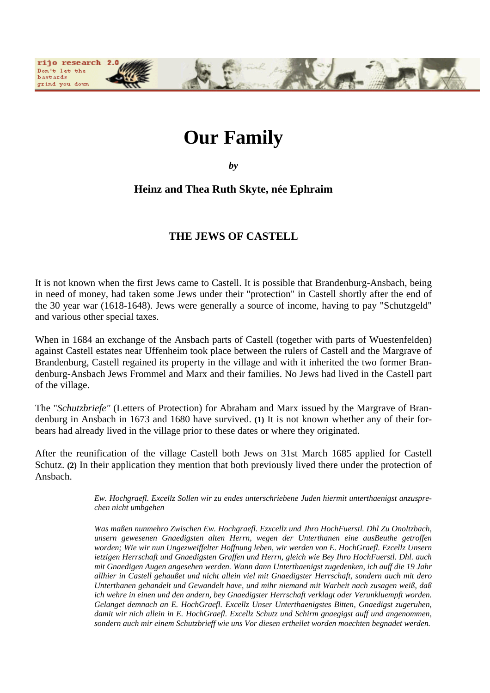# **Our Family**

rijo research Don't let the bastards grind you down

*by*

# **Heinz and Thea Ruth Skyte, née Ephraim**

# **THE JEWS OF CASTELL**

It is not known when the first Jews came to Castell. It is possible that Brandenburg-Ansbach, being in need of money, had taken some Jews under their "protection" in Castell shortly after the end of the 30 year war (1618-1648). Jews were generally a source of income, having to pay "Schutzgeld" and various other special taxes.

When in 1684 an exchange of the Ansbach parts of Castell (together with parts of Wuestenfelden) against Castell estates near Uffenheim took place between the rulers of Castell and the Margrave of Brandenburg, Castell regained its property in the village and with it inherited the two former Brandenburg-Ansbach Jews Frommel and Marx and their families. No Jews had lived in the Castell part of the village.

The "*Schutzbriefe"* (Letters of Protection) for Abraham and Marx issued by the Margrave of Brandenburg in Ansbach in 1673 and 1680 have survived. **(1)** It is not known whether any of their forbears had already lived in the village prior to these dates or where they originated.

After the reunification of the village Castell both Jews on 31st March 1685 applied for Castell Schutz. **(2)** In their application they mention that both previously lived there under the protection of Ansbach.

> *Ew. Hochgraefl. Excellz Sollen wir zu endes unterschriebene Juden hiermit unterthaenigst anzusprechen nicht umbgehen*

> *Was maßen nunmehro Zwischen Ew. Hochgraefl. Ezxcellz und Jhro HochFuerstl. Dhl Zu Onoltzbach, unsern gewesenen Gnaedigsten alten Herrn, wegen der Unterthanen eine ausBeuthe getroffen worden; Wie wir nun Ungezweiffelter Hoffnung leben, wir werden von E. HochGraefl. Ezcellz Unsern ietzigen Herrschaft und Gnaedigsten Graffen und Herrn, gleich wie Bey Ihro HochFuerstl. Dhl. auch mit Gnaedigen Augen angesehen werden. Wann dann Unterthaenigst zugedenken, ich auff die 19 Jahr allhier in Castell gehaußet und nicht allein viel mit Gnaedigster Herrschaft, sondern auch mit dero Unterthanen gehandelt und Gewandelt have, und mihr niemand mit Warheit nach zusagen weiß, daß ich wehre in einen und den andern, bey Gnaedigster Herrschaft verklagt oder Verunkluempft worden. Gelanget demnach an E. HochGraefl. Excellz Unser Unterthaenigstes Bitten, Gnaedigst zugeruhen, damit wir nich allein in E. HochGraefl. Excellz Schutz und Schirm gnaegigst auff und angenommen, sondern auch mir einem Schutzbrieff wie uns Vor diesen ertheilet worden moechten begnadet werden.*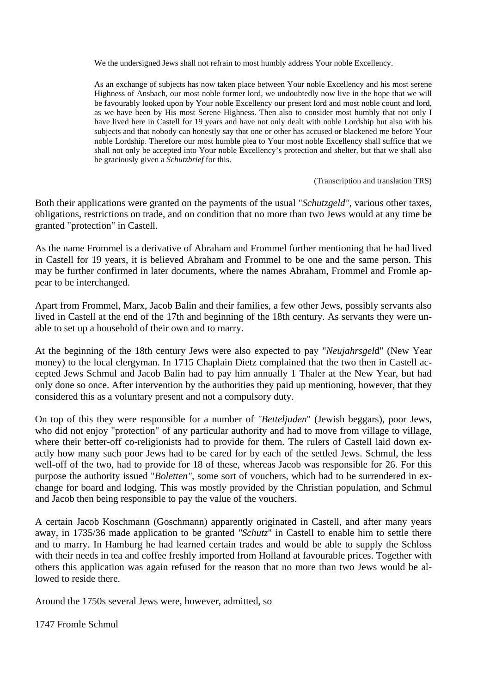We the undersigned Jews shall not refrain to most humbly address Your noble Excellency.

As an exchange of subjects has now taken place between Your noble Excellency and his most serene Highness of Ansbach, our most noble former lord, we undoubtedly now live in the hope that we will be favourably looked upon by Your noble Excellency our present lord and most noble count and lord, as we have been by His most Serene Highness. Then also to consider most humbly that not only I have lived here in Castell for 19 years and have not only dealt with noble Lordship but also with his subjects and that nobody can honestly say that one or other has accused or blackened me before Your noble Lordship. Therefore our most humble plea to Your most noble Excellency shall suffice that we shall not only be accepted into Your noble Excellency's protection and shelter, but that we shall also be graciously given a *Schutzbrief* for this.

(Transcription and translation TRS)

Both their applications were granted on the payments of the usual "*Schutzgeld",* various other taxes, obligations, restrictions on trade, and on condition that no more than two Jews would at any time be granted "protection" in Castell.

As the name Frommel is a derivative of Abraham and Frommel further mentioning that he had lived in Castell for 19 years, it is believed Abraham and Frommel to be one and the same person. This may be further confirmed in later documents, where the names Abraham, Frommel and Fromle appear to be interchanged.

Apart from Frommel, Marx, Jacob Balin and their families, a few other Jews, possibly servants also lived in Castell at the end of the 17th and beginning of the 18th century. As servants they were unable to set up a household of their own and to marry.

At the beginning of the 18th century Jews were also expected to pay "*Neujahrsgel*d" (New Year money) to the local clergyman. In 1715 Chaplain Dietz complained that the two then in Castell accepted Jews Schmul and Jacob Balin had to pay him annually 1 Thaler at the New Year, but had only done so once. After intervention by the authorities they paid up mentioning, however, that they considered this as a voluntary present and not a compulsory duty.

On top of this they were responsible for a number of *"Betteljuden*" (Jewish beggars), poor Jews, who did not enjoy "protection" of any particular authority and had to move from village to village, where their better-off co-religionists had to provide for them. The rulers of Castell laid down exactly how many such poor Jews had to be cared for by each of the settled Jews. Schmul, the less well-off of the two, had to provide for 18 of these, whereas Jacob was responsible for 26. For this purpose the authority issued "*Boletten",* some sort of vouchers, which had to be surrendered in exchange for board and lodging. This was mostly provided by the Christian population, and Schmul and Jacob then being responsible to pay the value of the vouchers.

A certain Jacob Koschmann (Goschmann) apparently originated in Castell, and after many years away, in 1735/36 made application to be granted *"Schutz*" in Castell to enable him to settle there and to marry. In Hamburg he had learned certain trades and would be able to supply the Schloss with their needs in tea and coffee freshly imported from Holland at favourable prices. Together with others this application was again refused for the reason that no more than two Jews would be allowed to reside there.

Around the 1750s several Jews were, however, admitted, so

1747 Fromle Schmul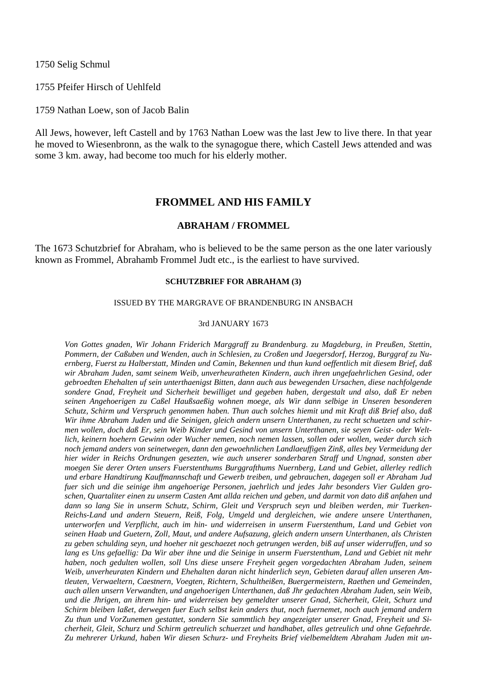1750 Selig Schmul

1755 Pfeifer Hirsch of Uehlfeld

1759 Nathan Loew, son of Jacob Balin

All Jews, however, left Castell and by 1763 Nathan Loew was the last Jew to live there. In that year he moved to Wiesenbronn, as the walk to the synagogue there, which Castell Jews attended and was some 3 km. away, had become too much for his elderly mother.

# **FROMMEL AND HIS FAMILY**

# **ABRAHAM / FROMMEL**

The 1673 Schutzbrief for Abraham, who is believed to be the same person as the one later variously known as Frommel, Abrahamb Frommel Judt etc., is the earliest to have survived.

#### **SCHUTZBRIEF FOR ABRAHAM (3)**

#### ISSUED BY THE MARGRAVE OF BRANDENBURG IN ANSBACH

#### 3rd JANUARY 1673

*Von Gottes gnaden, Wir Johann Friderich Marggraff zu Brandenburg. zu Magdeburg, in Preußen, Stettin, Pommern, der Caßuben und Wenden, auch in Schlesien, zu Croßen und Jaegersdorf, Herzog, Burggraf zu Nuernberg, Fuerst zu Halberstatt, Minden und Camin, Bekennen und thun kund oeffentlich mit diesem Brief, daß wir Abraham Juden, samt seinem Weib, unverheuratheten Kindern, auch ihren ungefaehrlichen Gesind, oder gebroedten Ehehalten uf sein unterthaenigst Bitten, dann auch aus bewegenden Ursachen, diese nachfolgende sondere Gnad, Freyheit und Sicherheit bewilliget und gegeben haben, dergestalt und also, daß Er neben seinen Angehoerigen zu Caßel Haußsaeßig wohnen moege, als Wir dann selbige in Unseren besonderen Schutz, Schirm und Verspruch genommen haben. Thun auch solches hiemit und mit Kraft diß Brief also, daß Wir ihme Abraham Juden und die Seinigen, gleich andern unsern Unterthanen, zu recht schuetzen und schirmen wollen, doch daß Er, sein Weib Kinder und Gesind von unsern Unterthanen, sie seyen Geist- oder Weltlich, keinern hoehern Gewinn oder Wucher nemen, noch nemen lassen, sollen oder wollen, weder durch sich noch jemand anders von seinetwegen, dann den gewoehnlichen Landlaeuffigen Zinß, alles bey Vermeidung der hier wider in Reichs Ordnungen gesezten, wie auch unserer sonderbaren Straff und Ungnad, sonsten aber moegen Sie derer Orten unsers Fuerstenthums Burggrafthums Nuernberg, Land und Gebiet, allerley redlich und erbare Handtirung Kauffmannschaft und Gewerb treiben, und gebrauchen, dagegen soll er Abraham Jud fuer sich und die seinige ihm angehoerige Personen, jaehrlich und jedes Jahr besonders Vier Gulden groschen, Quartaliter einen zu unserm Casten Amt allda reichen und geben, und darmit von dato diß anfahen und dann so lang Sie in unserm Schutz, Schirm, Gleit und Verspruch seyn und bleiben werden, mir Tuerken-Reichs-Land und andern Steuern, Reiß, Folg, Umgeld und dergleichen, wie andere unsere Unterthanen, unterworfen und Verpflicht, auch im hin- und widerreisen in unserm Fuerstenthum, Land und Gebiet von seinen Haab und Guetern, Zoll, Maut, und andere Aufsazung, gleich andern unsern Unterthanen, als Christen zu geben schulding seyn, und hoeher nit geschaezet noch getrungen werden, biß auf unser widerruffen, und so lang es Uns gefaellig: Da Wir aber ihne und die Seinige in unserm Fuerstenthum, Land und Gebiet nit mehr haben, noch gedulten wollen, soll Uns diese unsere Freyheit gegen vorgedachten Abraham Juden, seinem Weib, unverheuraten Kindern und Ehehalten daran nicht hinderlich seyn, Gebieten darauf allen unseren Amtleuten, Verwaeltern, Caestnern, Voegten, Richtern, Schultheißen, Buergermeistern, Raethen und Gemeinden, auch allen unsern Verwandten, und angehoerigen Unterthanen, daß Jhr gedachten Abraham Juden, sein Weib, und die Jhrigen, an ihrem hin- und widerreisen bey gemeldter unserer Gnad, Sicherheit, Gleit, Schurz und Schirm bleiben laßet, derwegen fuer Euch selbst kein anders thut, noch fuernemet, noch auch jemand andern Zu thun und VorZunemen gestattet, sondern Sie sammtlich bey angezeigter unserer Gnad, Freyheit und Sicherheit, Gleit, Schurz und Schirm getreulich schuerzet und handhabet, alles getreulich und ohne Gefaehrde. Zu mehrerer Urkund, haben Wir diesen Schurz- und Freyheits Brief vielbemeldtem Abraham Juden mit un-*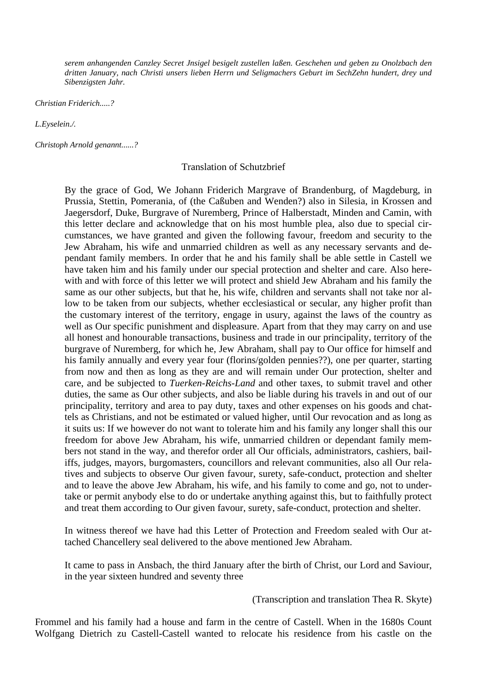*serem anhangenden Canzley Secret Jnsigel besigelt zustellen laßen. Geschehen und geben zu Onolzbach den dritten January, nach Christi unsers lieben Herrn und Seligmachers Geburt im SechZehn hundert, drey und Sibenzigsten Jahr.* 

*Christian Friderich.....?* 

*L.Eyselein./.* 

*Christoph Arnold genannt......?* 

## Translation of Schutzbrief

By the grace of God, We Johann Friderich Margrave of Brandenburg, of Magdeburg, in Prussia, Stettin, Pomerania, of (the Caßuben and Wenden?) also in Silesia, in Krossen and Jaegersdorf, Duke, Burgrave of Nuremberg, Prince of Halberstadt, Minden and Camin, with this letter declare and acknowledge that on his most humble plea, also due to special circumstances, we have granted and given the following favour, freedom and security to the Jew Abraham, his wife and unmarried children as well as any necessary servants and dependant family members. In order that he and his family shall be able settle in Castell we have taken him and his family under our special protection and shelter and care. Also herewith and with force of this letter we will protect and shield Jew Abraham and his family the same as our other subjects, but that he, his wife, children and servants shall not take nor allow to be taken from our subjects, whether ecclesiastical or secular, any higher profit than the customary interest of the territory, engage in usury, against the laws of the country as well as Our specific punishment and displeasure. Apart from that they may carry on and use all honest and honourable transactions, business and trade in our principality, territory of the burgrave of Nuremberg, for which he, Jew Abraham, shall pay to Our office for himself and his family annually and every year four (florins/golden pennies??), one per quarter, starting from now and then as long as they are and will remain under Our protection, shelter and care, and be subjected to *Tuerken-Reichs-Land* and other taxes, to submit travel and other duties, the same as Our other subjects, and also be liable during his travels in and out of our principality, territory and area to pay duty, taxes and other expenses on his goods and chattels as Christians, and not be estimated or valued higher, until Our revocation and as long as it suits us: If we however do not want to tolerate him and his family any longer shall this our freedom for above Jew Abraham, his wife, unmarried children or dependant family members not stand in the way, and therefor order all Our officials, administrators, cashiers, bailiffs, judges, mayors, burgomasters, councillors and relevant communities, also all Our relatives and subjects to observe Our given favour, surety, safe-conduct, protection and shelter and to leave the above Jew Abraham, his wife, and his family to come and go, not to undertake or permit anybody else to do or undertake anything against this, but to faithfully protect and treat them according to Our given favour, surety, safe-conduct, protection and shelter.

In witness thereof we have had this Letter of Protection and Freedom sealed with Our attached Chancellery seal delivered to the above mentioned Jew Abraham.

It came to pass in Ansbach, the third January after the birth of Christ, our Lord and Saviour, in the year sixteen hundred and seventy three

(Transcription and translation Thea R. Skyte)

Frommel and his family had a house and farm in the centre of Castell. When in the 1680s Count Wolfgang Dietrich zu Castell-Castell wanted to relocate his residence from his castle on the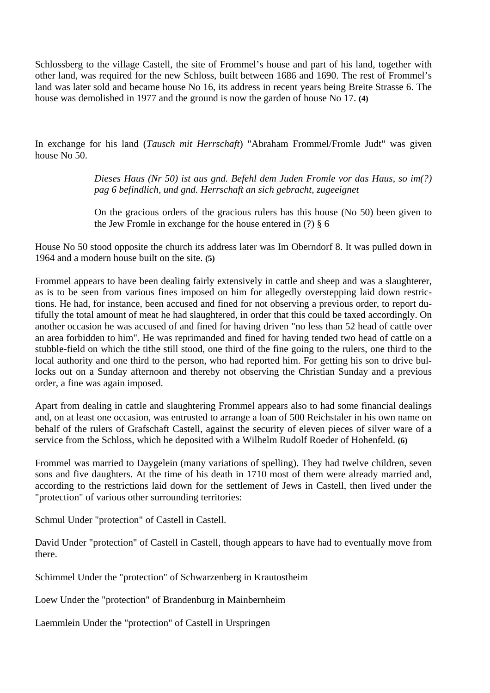Schlossberg to the village Castell, the site of Frommel's house and part of his land, together with other land, was required for the new Schloss, built between 1686 and 1690. The rest of Frommel's land was later sold and became house No 16, its address in recent years being Breite Strasse 6. The house was demolished in 1977 and the ground is now the garden of house No 17. **(4)**

In exchange for his land (*Tausch mit Herrschaft*) "Abraham Frommel/Fromle Judt" was given house No 50.

> *Dieses Haus (Nr 50) ist aus gnd. Befehl dem Juden Fromle vor das Haus, so im(?) pag 6 befindlich, und gnd. Herrschaft an sich gebracht, zugeeignet*

> On the gracious orders of the gracious rulers has this house (No 50) been given to the Jew Fromle in exchange for the house entered in (?) § 6

House No 50 stood opposite the church its address later was Im Oberndorf 8. It was pulled down in 1964 and a modern house built on the site. **(5)**

Frommel appears to have been dealing fairly extensively in cattle and sheep and was a slaughterer, as is to be seen from various fines imposed on him for allegedly overstepping laid down restrictions. He had, for instance, been accused and fined for not observing a previous order, to report dutifully the total amount of meat he had slaughtered, in order that this could be taxed accordingly. On another occasion he was accused of and fined for having driven "no less than 52 head of cattle over an area forbidden to him". He was reprimanded and fined for having tended two head of cattle on a stubble-field on which the tithe still stood, one third of the fine going to the rulers, one third to the local authority and one third to the person, who had reported him. For getting his son to drive bullocks out on a Sunday afternoon and thereby not observing the Christian Sunday and a previous order, a fine was again imposed.

Apart from dealing in cattle and slaughtering Frommel appears also to had some financial dealings and, on at least one occasion, was entrusted to arrange a loan of 500 Reichstaler in his own name on behalf of the rulers of Grafschaft Castell, against the security of eleven pieces of silver ware of a service from the Schloss, which he deposited with a Wilhelm Rudolf Roeder of Hohenfeld. **(6)**

Frommel was married to Daygelein (many variations of spelling). They had twelve children, seven sons and five daughters. At the time of his death in 1710 most of them were already married and, according to the restrictions laid down for the settlement of Jews in Castell, then lived under the "protection" of various other surrounding territories:

Schmul Under "protection" of Castell in Castell.

David Under "protection" of Castell in Castell, though appears to have had to eventually move from there.

Schimmel Under the "protection" of Schwarzenberg in Krautostheim

Loew Under the "protection" of Brandenburg in Mainbernheim

Laemmlein Under the "protection" of Castell in Urspringen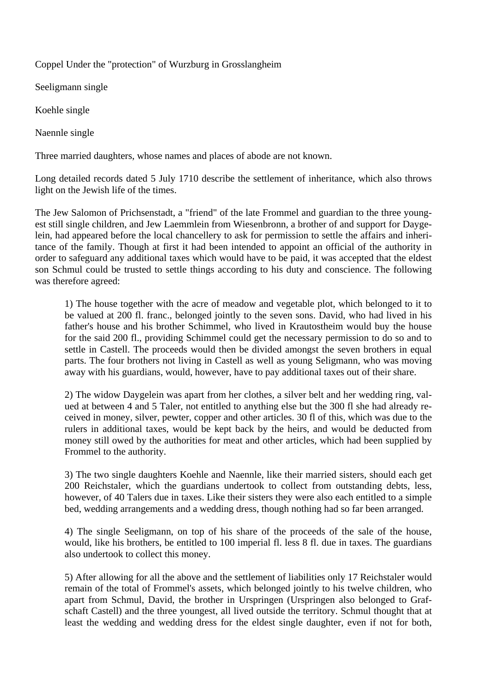Coppel Under the "protection" of Wurzburg in Grosslangheim

Seeligmann single

Koehle single

Naennle single

Three married daughters, whose names and places of abode are not known.

Long detailed records dated 5 July 1710 describe the settlement of inheritance, which also throws light on the Jewish life of the times.

The Jew Salomon of Prichsenstadt, a "friend" of the late Frommel and guardian to the three youngest still single children, and Jew Laemmlein from Wiesenbronn, a brother of and support for Daygelein, had appeared before the local chancellery to ask for permission to settle the affairs and inheritance of the family. Though at first it had been intended to appoint an official of the authority in order to safeguard any additional taxes which would have to be paid, it was accepted that the eldest son Schmul could be trusted to settle things according to his duty and conscience. The following was therefore agreed:

1) The house together with the acre of meadow and vegetable plot, which belonged to it to be valued at 200 fl. franc., belonged jointly to the seven sons. David, who had lived in his father's house and his brother Schimmel, who lived in Krautostheim would buy the house for the said 200 fl., providing Schimmel could get the necessary permission to do so and to settle in Castell. The proceeds would then be divided amongst the seven brothers in equal parts. The four brothers not living in Castell as well as young Seligmann, who was moving away with his guardians, would, however, have to pay additional taxes out of their share.

2) The widow Daygelein was apart from her clothes, a silver belt and her wedding ring, valued at between 4 and 5 Taler, not entitled to anything else but the 300 fl she had already received in money, silver, pewter, copper and other articles. 30 fl of this, which was due to the rulers in additional taxes, would be kept back by the heirs, and would be deducted from money still owed by the authorities for meat and other articles, which had been supplied by Frommel to the authority.

3) The two single daughters Koehle and Naennle, like their married sisters, should each get 200 Reichstaler, which the guardians undertook to collect from outstanding debts, less, however, of 40 Talers due in taxes. Like their sisters they were also each entitled to a simple bed, wedding arrangements and a wedding dress, though nothing had so far been arranged.

4) The single Seeligmann, on top of his share of the proceeds of the sale of the house, would, like his brothers, be entitled to 100 imperial fl. less 8 fl. due in taxes. The guardians also undertook to collect this money.

5) After allowing for all the above and the settlement of liabilities only 17 Reichstaler would remain of the total of Frommel's assets, which belonged jointly to his twelve children, who apart from Schmul, David, the brother in Urspringen (Urspringen also belonged to Grafschaft Castell) and the three youngest, all lived outside the territory. Schmul thought that at least the wedding and wedding dress for the eldest single daughter, even if not for both,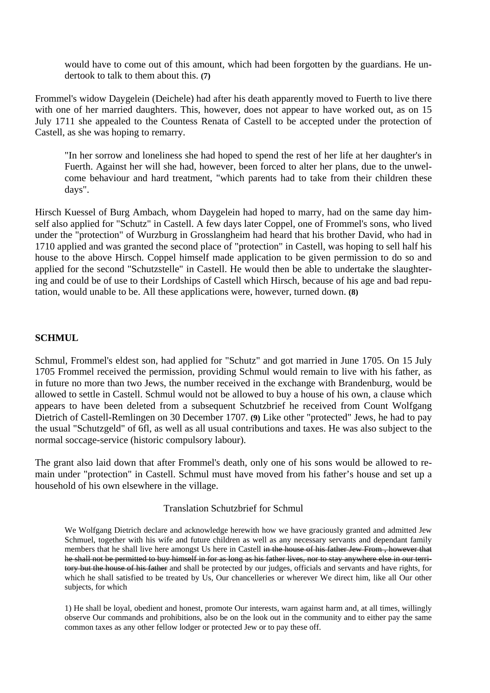would have to come out of this amount, which had been forgotten by the guardians. He undertook to talk to them about this. **(7)**

Frommel's widow Daygelein (Deichele) had after his death apparently moved to Fuerth to live there with one of her married daughters. This, however, does not appear to have worked out, as on 15 July 1711 she appealed to the Countess Renata of Castell to be accepted under the protection of Castell, as she was hoping to remarry.

"In her sorrow and loneliness she had hoped to spend the rest of her life at her daughter's in Fuerth. Against her will she had, however, been forced to alter her plans, due to the unwelcome behaviour and hard treatment, "which parents had to take from their children these days".

Hirsch Kuessel of Burg Ambach, whom Daygelein had hoped to marry, had on the same day himself also applied for "Schutz" in Castell. A few days later Coppel, one of Frommel's sons, who lived under the "protection" of Wurzburg in Grosslangheim had heard that his brother David, who had in 1710 applied and was granted the second place of "protection" in Castell, was hoping to sell half his house to the above Hirsch. Coppel himself made application to be given permission to do so and applied for the second "Schutzstelle" in Castell. He would then be able to undertake the slaughtering and could be of use to their Lordships of Castell which Hirsch, because of his age and bad reputation, would unable to be. All these applications were, however, turned down. **(8)**

# **SCHMUL**

Schmul, Frommel's eldest son, had applied for "Schutz" and got married in June 1705. On 15 July 1705 Frommel received the permission, providing Schmul would remain to live with his father, as in future no more than two Jews, the number received in the exchange with Brandenburg, would be allowed to settle in Castell. Schmul would not be allowed to buy a house of his own, a clause which appears to have been deleted from a subsequent Schutzbrief he received from Count Wolfgang Dietrich of Castell-Remlingen on 30 December 1707. **(9)** Like other "protected" Jews, he had to pay the usual "Schutzgeld" of 6fl, as well as all usual contributions and taxes. He was also subject to the normal soccage-service (historic compulsory labour).

The grant also laid down that after Frommel's death, only one of his sons would be allowed to remain under "protection" in Castell. Schmul must have moved from his father's house and set up a household of his own elsewhere in the village.

# Translation Schutzbrief for Schmul

We Wolfgang Dietrich declare and acknowledge herewith how we have graciously granted and admitted Jew Schmuel, together with his wife and future children as well as any necessary servants and dependant family members that he shall live here amongst Us here in Castell in the house of his father Jew From, however that he shall not be permitted to buy himself in for as long as his father lives, nor to stay anywhere else in our territory but the house of his father and shall be protected by our judges, officials and servants and have rights, for which he shall satisfied to be treated by Us, Our chancelleries or wherever We direct him, like all Our other subjects, for which

1) He shall be loyal, obedient and honest, promote Our interests, warn against harm and, at all times, willingly observe Our commands and prohibitions, also be on the look out in the community and to either pay the same common taxes as any other fellow lodger or protected Jew or to pay these off.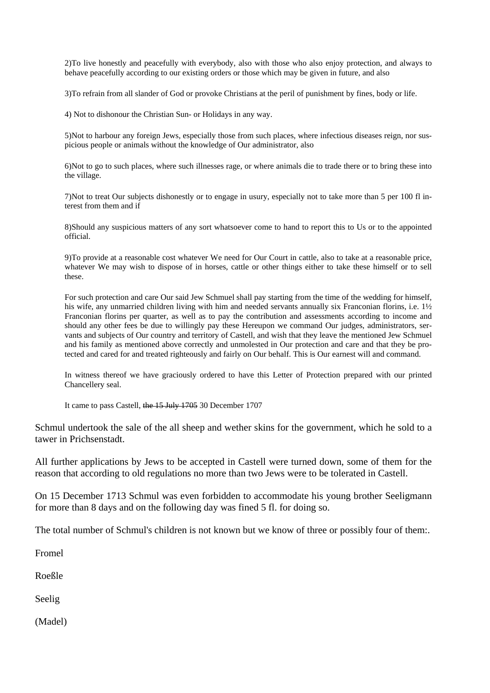2)To live honestly and peacefully with everybody, also with those who also enjoy protection, and always to behave peacefully according to our existing orders or those which may be given in future, and also

3)To refrain from all slander of God or provoke Christians at the peril of punishment by fines, body or life.

4) Not to dishonour the Christian Sun- or Holidays in any way.

5)Not to harbour any foreign Jews, especially those from such places, where infectious diseases reign, nor suspicious people or animals without the knowledge of Our administrator, also

6)Not to go to such places, where such illnesses rage, or where animals die to trade there or to bring these into the village.

7)Not to treat Our subjects dishonestly or to engage in usury, especially not to take more than 5 per 100 fl interest from them and if

8)Should any suspicious matters of any sort whatsoever come to hand to report this to Us or to the appointed official.

9)To provide at a reasonable cost whatever We need for Our Court in cattle, also to take at a reasonable price, whatever We may wish to dispose of in horses, cattle or other things either to take these himself or to sell these.

For such protection and care Our said Jew Schmuel shall pay starting from the time of the wedding for himself, his wife, any unmarried children living with him and needed servants annually six Franconian florins, i.e. 1½ Franconian florins per quarter, as well as to pay the contribution and assessments according to income and should any other fees be due to willingly pay these Hereupon we command Our judges, administrators, servants and subjects of Our country and territory of Castell, and wish that they leave the mentioned Jew Schmuel and his family as mentioned above correctly and unmolested in Our protection and care and that they be protected and cared for and treated righteously and fairly on Our behalf. This is Our earnest will and command.

In witness thereof we have graciously ordered to have this Letter of Protection prepared with our printed Chancellery seal.

It came to pass Castell, the 15 July 1705 30 December 1707

Schmul undertook the sale of the all sheep and wether skins for the government, which he sold to a tawer in Prichsenstadt.

All further applications by Jews to be accepted in Castell were turned down, some of them for the reason that according to old regulations no more than two Jews were to be tolerated in Castell.

On 15 December 1713 Schmul was even forbidden to accommodate his young brother Seeligmann for more than 8 days and on the following day was fined 5 fl. for doing so.

The total number of Schmul's children is not known but we know of three or possibly four of them:.

Fromel

Roeßle

Seelig

(Madel)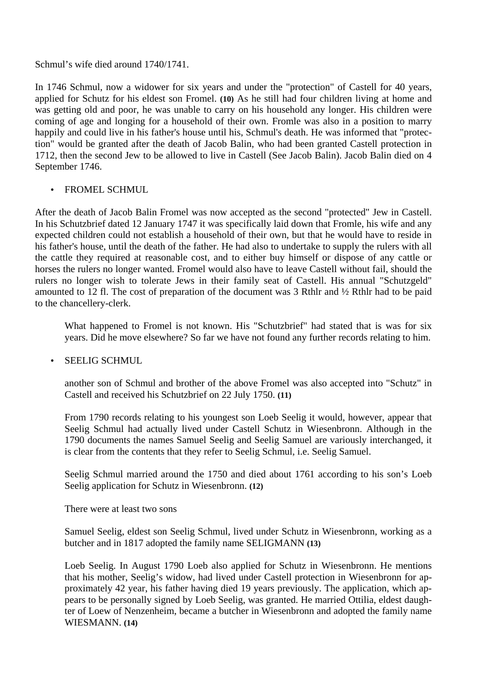Schmul's wife died around 1740/1741.

In 1746 Schmul, now a widower for six years and under the "protection" of Castell for 40 years, applied for Schutz for his eldest son Fromel. **(10)** As he still had four children living at home and was getting old and poor, he was unable to carry on his household any longer. His children were coming of age and longing for a household of their own. Fromle was also in a position to marry happily and could live in his father's house until his, Schmul's death. He was informed that "protection" would be granted after the death of Jacob Balin, who had been granted Castell protection in 1712, then the second Jew to be allowed to live in Castell (See Jacob Balin). Jacob Balin died on 4 September 1746.

# • FROMEL SCHMUL

After the death of Jacob Balin Fromel was now accepted as the second "protected" Jew in Castell. In his Schutzbrief dated 12 January 1747 it was specifically laid down that Fromle, his wife and any expected children could not establish a household of their own, but that he would have to reside in his father's house, until the death of the father. He had also to undertake to supply the rulers with all the cattle they required at reasonable cost, and to either buy himself or dispose of any cattle or horses the rulers no longer wanted. Fromel would also have to leave Castell without fail, should the rulers no longer wish to tolerate Jews in their family seat of Castell. His annual "Schutzgeld" amounted to 12 fl. The cost of preparation of the document was 3 Rthlr and ½ Rthlr had to be paid to the chancellery-clerk.

What happened to Fromel is not known. His "Schutzbrief" had stated that is was for six years. Did he move elsewhere? So far we have not found any further records relating to him.

# • SEELIG SCHMUL

another son of Schmul and brother of the above Fromel was also accepted into "Schutz" in Castell and received his Schutzbrief on 22 July 1750. **(11)**

From 1790 records relating to his youngest son Loeb Seelig it would, however, appear that Seelig Schmul had actually lived under Castell Schutz in Wiesenbronn. Although in the 1790 documents the names Samuel Seelig and Seelig Samuel are variously interchanged, it is clear from the contents that they refer to Seelig Schmul, i.e. Seelig Samuel.

Seelig Schmul married around the 1750 and died about 1761 according to his son's Loeb Seelig application for Schutz in Wiesenbronn. **(12)**

# There were at least two sons

Samuel Seelig, eldest son Seelig Schmul, lived under Schutz in Wiesenbronn, working as a butcher and in 1817 adopted the family name SELIGMANN **(13)**

Loeb Seelig. In August 1790 Loeb also applied for Schutz in Wiesenbronn. He mentions that his mother, Seelig's widow, had lived under Castell protection in Wiesenbronn for approximately 42 year, his father having died 19 years previously. The application, which appears to be personally signed by Loeb Seelig, was granted. He married Ottilia, eldest daughter of Loew of Nenzenheim, became a butcher in Wiesenbronn and adopted the family name WIESMANN. **(14)**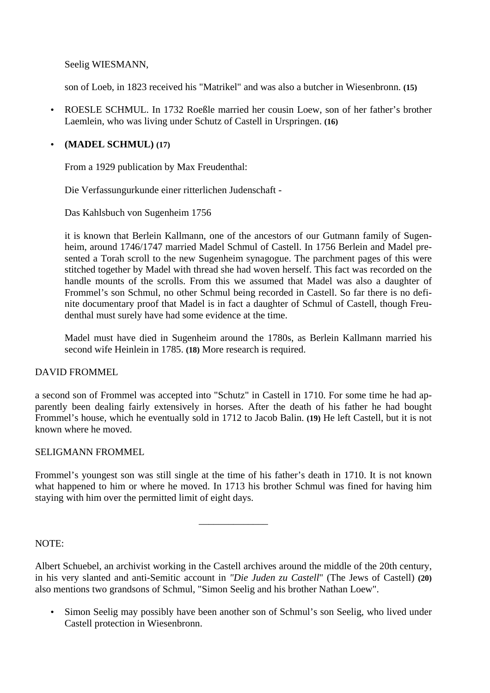Seelig WIESMANN,

son of Loeb, in 1823 received his "Matrikel" and was also a butcher in Wiesenbronn. **(15)**

• ROESLE SCHMUL. In 1732 Roeßle married her cousin Loew, son of her father's brother Laemlein, who was living under Schutz of Castell in Urspringen. **(16)**

# • **(MADEL SCHMUL) (17)**

From a 1929 publication by Max Freudenthal:

Die Verfassungurkunde einer ritterlichen Judenschaft -

Das Kahlsbuch von Sugenheim 1756

it is known that Berlein Kallmann, one of the ancestors of our Gutmann family of Sugenheim, around 1746/1747 married Madel Schmul of Castell. In 1756 Berlein and Madel presented a Torah scroll to the new Sugenheim synagogue. The parchment pages of this were stitched together by Madel with thread she had woven herself. This fact was recorded on the handle mounts of the scrolls. From this we assumed that Madel was also a daughter of Frommel's son Schmul, no other Schmul being recorded in Castell. So far there is no definite documentary proof that Madel is in fact a daughter of Schmul of Castell, though Freudenthal must surely have had some evidence at the time.

Madel must have died in Sugenheim around the 1780s, as Berlein Kallmann married his second wife Heinlein in 1785. **(18)** More research is required.

# DAVID FROMMEL

a second son of Frommel was accepted into "Schutz" in Castell in 1710. For some time he had apparently been dealing fairly extensively in horses. After the death of his father he had bought Frommel's house, which he eventually sold in 1712 to Jacob Balin. **(19)** He left Castell, but it is not known where he moved.

# SELIGMANN FROMMEL

Frommel's youngest son was still single at the time of his father's death in 1710. It is not known what happened to him or where he moved. In 1713 his brother Schmul was fined for having him staying with him over the permitted limit of eight days.

\_\_\_\_\_\_\_\_\_\_\_\_\_\_

# NOTE:

Albert Schuebel, an archivist working in the Castell archives around the middle of the 20th century, in his very slanted and anti-Semitic account in *"Die Juden zu Castell*" (The Jews of Castell) **(20)** also mentions two grandsons of Schmul, "Simon Seelig and his brother Nathan Loew".

• Simon Seelig may possibly have been another son of Schmul's son Seelig, who lived under Castell protection in Wiesenbronn.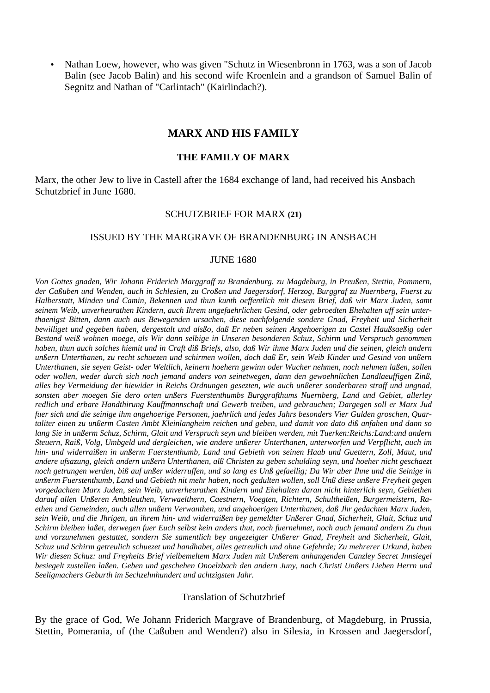• Nathan Loew, however, who was given "Schutz in Wiesenbronn in 1763, was a son of Jacob Balin (see Jacob Balin) and his second wife Kroenlein and a grandson of Samuel Balin of Segnitz and Nathan of "Carlintach" (Kairlindach?).

# **MARX AND HIS FAMILY**

## **THE FAMILY OF MARX**

Marx, the other Jew to live in Castell after the 1684 exchange of land, had received his Ansbach Schutzbrief in June 1680.

#### SCHUTZBRIEF FOR MARX **(21)**

#### ISSUED BY THE MARGRAVE OF BRANDENBURG IN ANSBACH

### JUNE 1680

*Von Gottes gnaden, Wir Johann Friderich Marggraff zu Brandenburg. zu Magdeburg, in Preußen, Stettin, Pommern, der Caßuben und Wenden, auch in Schlesien, zu Croßen und Jaegersdorf, Herzog, Burggraf zu Nuernberg, Fuerst zu Halberstatt, Minden und Camin, Bekennen und thun kunth oeffentlich mit diesem Brief, daß wir Marx Juden, samt seinem Weib, unverheurathen Kindern, auch Ihrem ungefaehrlichen Gesind, oder gebroedten Ehehalten uff sein unterthaenigst Bitten, dann auch aus Bewegenden ursachen, diese nachfolgende sondere Gnad, Freyheit und Sicherheit bewilliget und gegeben haben, dergestalt und alsßo, daß Er neben seinen Angehoerigen zu Castel Haußsaeßig oder Bestand weiß wohnen moege, als Wir dann selbige in Unseren besonderen Schuz, Schirm und Verspruch genommen haben, thun auch solches hiemit und in Craft diß Briefs, also, daß Wir ihme Marx Juden und die seinen, gleich andern unßern Unterthanen, zu recht schuezen und schirmen wollen, doch daß Er, sein Weib Kinder und Gesind von unßern Unterthanen, sie seyen Geist- oder Weltlich, keinern hoehern gewinn oder Wucher nehmen, noch nehmen laßen, sollen oder wollen, weder durch sich noch jemand anders von seinetwegen, dann den gewoehnlichen Landlaeuffigen Zinß, alles bey Vermeidung der hiewider in Reichs Ordnungen gesezten, wie auch unßerer sonderbaren straff und ungnad, sonsten aber moegen Sie dero orten unßers Fuerstenthumbs Burggrafthums Nuernberg, Land und Gebiet, allerley redlich und erbare Handthirung Kauffmannschaft und Gewerb treiben, und gebrauchen; Dargegen soll er Marx Jud fuer sich und die seinige ihm angehoerige Personen, jaehrlich und jedes Jahrs besonders Vier Gulden groschen, Quartaliter einen zu unßerm Casten Ambt Kleinlangheim reichen und geben, und damit von dato diß anfahen und dann so lang Sie in unßerm Schuz, Schirm, Glait und Verspruch seyn und bleiben werden, mit Tuerken:Reichs:Land:und andern Steuern, Raiß, Volg, Umbgeld und dergleichen, wie andere unßerer Unterthanen, unterworfen und Verpflicht, auch im hin- und widerraißen in unßerm Fuerstenthumb, Land und Gebieth von seinen Haab und Guettern, Zoll, Maut, und andere ufsazung, gleich andern unßern Unterthanen, alß Christen zu geben schulding seyn, und hoeher nicht geschaezt noch getrungen werden, biß auf unßer widerruffen, und so lang es Unß gefaellig; Da Wir aber Ihne und die Seinige in unßerm Fuerstenthumb, Land und Gebieth nit mehr haben, noch gedulten wollen, soll Unß diese unßere Freyheit gegen vorgedachten Marx Juden, sein Weib, unverheurathen Kindern und Ehehalten daran nicht hinterlich seyn, Gebiethen darauf allen Unßeren Ambtleuthen, Verwaelthern, Caestnern, Voegten, Richtern, Schultheißen, Burgermeistern, Raethen und Gemeinden, auch allen unßern Verwanthen, und angehoerigen Unterthanen, daß Jhr gedachten Marx Juden, sein Weib, und die Jhrigen, an ihrem hin- und widerraißen bey gemeldter Unßerer Gnad, Sicherheit, Glait, Schuz und Schirm bleiben laßet, derwegen fuer Euch selbst kein anders thut, noch fuernehmet, noch auch jemand andern Zu thun und vorzunehmen gestattet, sondern Sie samentlich bey angezeigter Unßerer Gnad, Freyheit und Sicherheit, Glait, Schuz und Schirm getreulich schuezet und handhabet, alles getreulich und ohne Gefehrde; Zu mehrerer Urkund, haben Wir diesen Schuz: und Freyheits Brief vielbemeltem Marx Juden mit Unßerem anhangenden Canzley Secret Jnnsiegel besiegelt zustellen laßen. Geben und geschehen Onoelzbach den andern Juny, nach Christi Unßers Lieben Herrn und Seeligmachers Geburth im Sechzehnhundert und achtzigsten Jahr.* 

#### Translation of Schutzbrief

By the grace of God, We Johann Friderich Margrave of Brandenburg, of Magdeburg, in Prussia, Stettin, Pomerania, of (the Caßuben and Wenden?) also in Silesia, in Krossen and Jaegersdorf,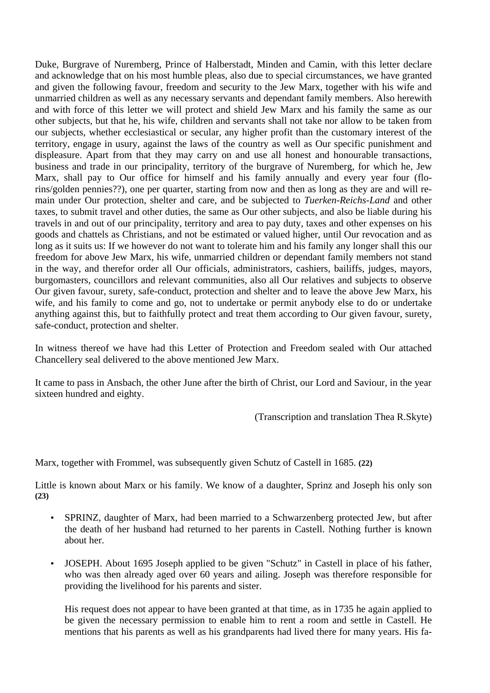Duke, Burgrave of Nuremberg, Prince of Halberstadt, Minden and Camin, with this letter declare and acknowledge that on his most humble pleas, also due to special circumstances, we have granted and given the following favour, freedom and security to the Jew Marx, together with his wife and unmarried children as well as any necessary servants and dependant family members. Also herewith and with force of this letter we will protect and shield Jew Marx and his family the same as our other subjects, but that he, his wife, children and servants shall not take nor allow to be taken from our subjects, whether ecclesiastical or secular, any higher profit than the customary interest of the territory, engage in usury, against the laws of the country as well as Our specific punishment and displeasure. Apart from that they may carry on and use all honest and honourable transactions, business and trade in our principality, territory of the burgrave of Nuremberg, for which he, Jew Marx, shall pay to Our office for himself and his family annually and every year four (florins/golden pennies??), one per quarter, starting from now and then as long as they are and will remain under Our protection, shelter and care, and be subjected to *Tuerken-Reichs-Land* and other taxes, to submit travel and other duties, the same as Our other subjects, and also be liable during his travels in and out of our principality, territory and area to pay duty, taxes and other expenses on his goods and chattels as Christians, and not be estimated or valued higher, until Our revocation and as long as it suits us: If we however do not want to tolerate him and his family any longer shall this our freedom for above Jew Marx, his wife, unmarried children or dependant family members not stand in the way, and therefor order all Our officials, administrators, cashiers, bailiffs, judges, mayors, burgomasters, councillors and relevant communities, also all Our relatives and subjects to observe Our given favour, surety, safe-conduct, protection and shelter and to leave the above Jew Marx, his wife, and his family to come and go, not to undertake or permit anybody else to do or undertake anything against this, but to faithfully protect and treat them according to Our given favour, surety, safe-conduct, protection and shelter.

In witness thereof we have had this Letter of Protection and Freedom sealed with Our attached Chancellery seal delivered to the above mentioned Jew Marx.

It came to pass in Ansbach, the other June after the birth of Christ, our Lord and Saviour, in the year sixteen hundred and eighty.

(Transcription and translation Thea R.Skyte)

Marx, together with Frommel, was subsequently given Schutz of Castell in 1685. **(22)**

Little is known about Marx or his family. We know of a daughter, Sprinz and Joseph his only son **(23)**

- SPRINZ, daughter of Marx, had been married to a Schwarzenberg protected Jew, but after the death of her husband had returned to her parents in Castell. Nothing further is known about her.
- JOSEPH. About 1695 Joseph applied to be given "Schutz" in Castell in place of his father, who was then already aged over 60 years and ailing. Joseph was therefore responsible for providing the livelihood for his parents and sister.

His request does not appear to have been granted at that time, as in 1735 he again applied to be given the necessary permission to enable him to rent a room and settle in Castell. He mentions that his parents as well as his grandparents had lived there for many years. His fa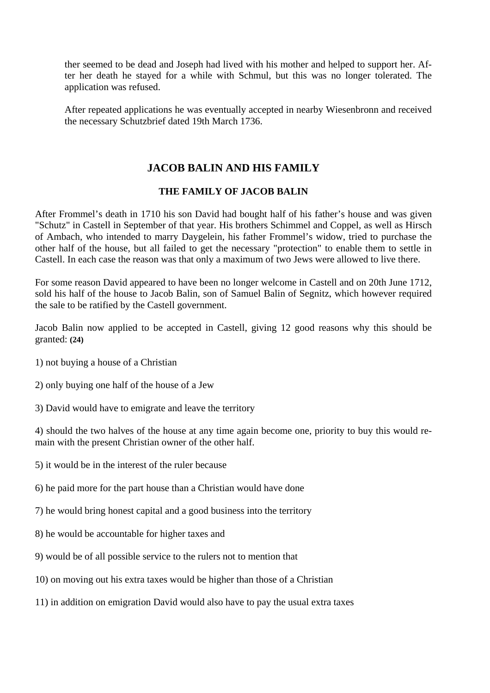ther seemed to be dead and Joseph had lived with his mother and helped to support her. After her death he stayed for a while with Schmul, but this was no longer tolerated. The application was refused.

After repeated applications he was eventually accepted in nearby Wiesenbronn and received the necessary Schutzbrief dated 19th March 1736.

# **JACOB BALIN AND HIS FAMILY**

# **THE FAMILY OF JACOB BALIN**

After Frommel's death in 1710 his son David had bought half of his father's house and was given "Schutz" in Castell in September of that year. His brothers Schimmel and Coppel, as well as Hirsch of Ambach, who intended to marry Daygelein, his father Frommel's widow, tried to purchase the other half of the house, but all failed to get the necessary "protection" to enable them to settle in Castell. In each case the reason was that only a maximum of two Jews were allowed to live there.

For some reason David appeared to have been no longer welcome in Castell and on 20th June 1712, sold his half of the house to Jacob Balin, son of Samuel Balin of Segnitz, which however required the sale to be ratified by the Castell government.

Jacob Balin now applied to be accepted in Castell, giving 12 good reasons why this should be granted: **(24)**

- 1) not buying a house of a Christian
- 2) only buying one half of the house of a Jew
- 3) David would have to emigrate and leave the territory

4) should the two halves of the house at any time again become one, priority to buy this would remain with the present Christian owner of the other half.

- 5) it would be in the interest of the ruler because
- 6) he paid more for the part house than a Christian would have done
- 7) he would bring honest capital and a good business into the territory
- 8) he would be accountable for higher taxes and
- 9) would be of all possible service to the rulers not to mention that
- 10) on moving out his extra taxes would be higher than those of a Christian
- 11) in addition on emigration David would also have to pay the usual extra taxes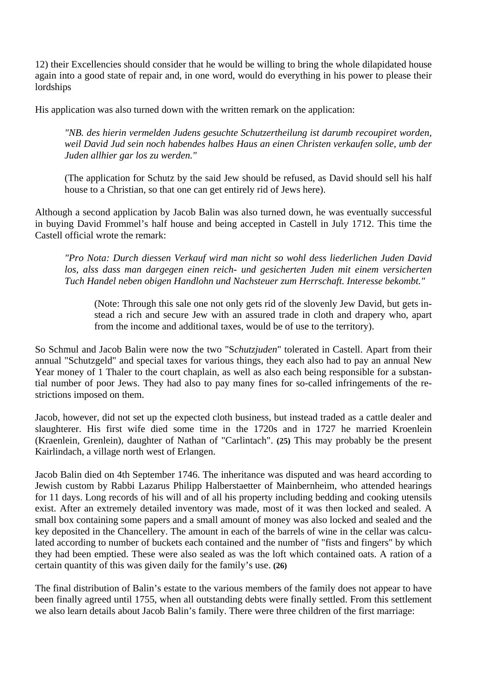12) their Excellencies should consider that he would be willing to bring the whole dilapidated house again into a good state of repair and, in one word, would do everything in his power to please their lordships

His application was also turned down with the written remark on the application:

*"NB. des hierin vermelden Judens gesuchte Schutzertheilung ist darumb recoupiret worden, weil David Jud sein noch habendes halbes Haus an einen Christen verkaufen solle, umb der Juden allhier gar los zu werden."* 

(The application for Schutz by the said Jew should be refused, as David should sell his half house to a Christian, so that one can get entirely rid of Jews here).

Although a second application by Jacob Balin was also turned down, he was eventually successful in buying David Frommel's half house and being accepted in Castell in July 1712. This time the Castell official wrote the remark:

*"Pro Nota: Durch diessen Verkauf wird man nicht so wohl dess liederlichen Juden David los, alss dass man dargegen einen reich- und gesicherten Juden mit einem versicherten Tuch Handel neben obigen Handlohn und Nachsteuer zum Herrschaft. Interesse bekombt."* 

(Note: Through this sale one not only gets rid of the slovenly Jew David, but gets instead a rich and secure Jew with an assured trade in cloth and drapery who, apart from the income and additional taxes, would be of use to the territory).

So Schmul and Jacob Balin were now the two "S*chutzjuden*" tolerated in Castell. Apart from their annual "Schutzgeld" and special taxes for various things, they each also had to pay an annual New Year money of 1 Thaler to the court chaplain, as well as also each being responsible for a substantial number of poor Jews. They had also to pay many fines for so-called infringements of the restrictions imposed on them.

Jacob, however, did not set up the expected cloth business, but instead traded as a cattle dealer and slaughterer. His first wife died some time in the 1720s and in 1727 he married Kroenlein (Kraenlein, Grenlein), daughter of Nathan of "Carlintach". **(25)** This may probably be the present Kairlindach, a village north west of Erlangen.

Jacob Balin died on 4th September 1746. The inheritance was disputed and was heard according to Jewish custom by Rabbi Lazarus Philipp Halberstaetter of Mainbernheim, who attended hearings for 11 days. Long records of his will and of all his property including bedding and cooking utensils exist. After an extremely detailed inventory was made, most of it was then locked and sealed. A small box containing some papers and a small amount of money was also locked and sealed and the key deposited in the Chancellery. The amount in each of the barrels of wine in the cellar was calculated according to number of buckets each contained and the number of "fists and fingers" by which they had been emptied. These were also sealed as was the loft which contained oats. A ration of a certain quantity of this was given daily for the family's use. **(26)**

The final distribution of Balin's estate to the various members of the family does not appear to have been finally agreed until 1755, when all outstanding debts were finally settled. From this settlement we also learn details about Jacob Balin's family. There were three children of the first marriage: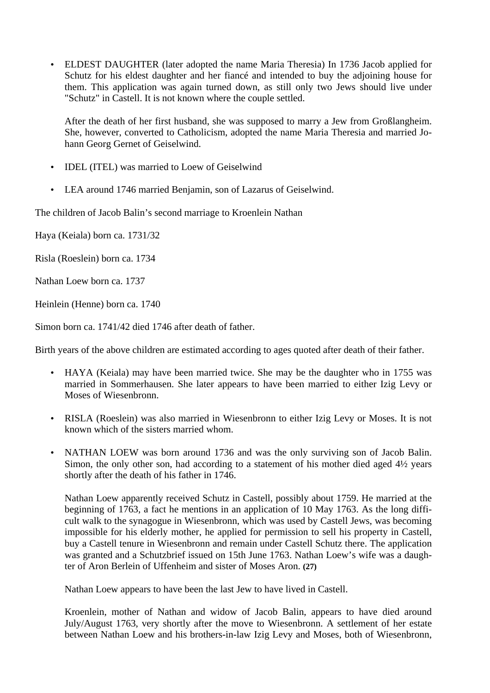• ELDEST DAUGHTER (later adopted the name Maria Theresia) In 1736 Jacob applied for Schutz for his eldest daughter and her fiancé and intended to buy the adjoining house for them. This application was again turned down, as still only two Jews should live under "Schutz" in Castell. It is not known where the couple settled.

After the death of her first husband, she was supposed to marry a Jew from Großlangheim. She, however, converted to Catholicism, adopted the name Maria Theresia and married Johann Georg Gernet of Geiselwind.

- IDEL (ITEL) was married to Loew of Geiselwind
- LEA around 1746 married Benjamin, son of Lazarus of Geiselwind.

The children of Jacob Balin's second marriage to Kroenlein Nathan

Haya (Keiala) born ca. 1731/32

Risla (Roeslein) born ca. 1734

Nathan Loew born ca. 1737

Heinlein (Henne) born ca. 1740

Simon born ca. 1741/42 died 1746 after death of father.

Birth years of the above children are estimated according to ages quoted after death of their father.

- HAYA (Keiala) may have been married twice. She may be the daughter who in 1755 was married in Sommerhausen. She later appears to have been married to either Izig Levy or Moses of Wiesenbronn.
- RISLA (Roeslein) was also married in Wiesenbronn to either Izig Levy or Moses. It is not known which of the sisters married whom.
- NATHAN LOEW was born around 1736 and was the only surviving son of Jacob Balin. Simon, the only other son, had according to a statement of his mother died aged 4<sup>1</sup>/<sub>2</sub> years shortly after the death of his father in 1746.

Nathan Loew apparently received Schutz in Castell, possibly about 1759. He married at the beginning of 1763, a fact he mentions in an application of 10 May 1763. As the long difficult walk to the synagogue in Wiesenbronn, which was used by Castell Jews, was becoming impossible for his elderly mother, he applied for permission to sell his property in Castell, buy a Castell tenure in Wiesenbronn and remain under Castell Schutz there. The application was granted and a Schutzbrief issued on 15th June 1763. Nathan Loew's wife was a daughter of Aron Berlein of Uffenheim and sister of Moses Aron. **(27)**

Nathan Loew appears to have been the last Jew to have lived in Castell.

Kroenlein, mother of Nathan and widow of Jacob Balin, appears to have died around July/August 1763, very shortly after the move to Wiesenbronn. A settlement of her estate between Nathan Loew and his brothers-in-law Izig Levy and Moses, both of Wiesenbronn,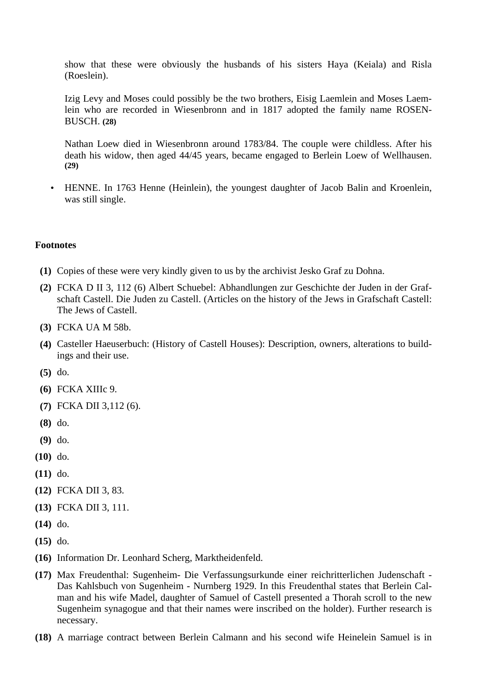show that these were obviously the husbands of his sisters Haya (Keiala) and Risla (Roeslein).

Izig Levy and Moses could possibly be the two brothers, Eisig Laemlein and Moses Laemlein who are recorded in Wiesenbronn and in 1817 adopted the family name ROSEN-BUSCH. **(28)**

Nathan Loew died in Wiesenbronn around 1783/84. The couple were childless. After his death his widow, then aged 44/45 years, became engaged to Berlein Loew of Wellhausen. **(29)**

• HENNE. In 1763 Henne (Heinlein), the youngest daughter of Jacob Balin and Kroenlein, was still single.

# **Footnotes**

- **(1)** Copies of these were very kindly given to us by the archivist Jesko Graf zu Dohna.
- **(2)** FCKA D II 3, 112 (6) Albert Schuebel: Abhandlungen zur Geschichte der Juden in der Grafschaft Castell. Die Juden zu Castell. (Articles on the history of the Jews in Grafschaft Castell: The Jews of Castell.
- **(3)** FCKA UA M 58b.
- **(4)** Casteller Haeuserbuch: (History of Castell Houses): Description, owners, alterations to buildings and their use.
- **(5)** do.
- **(6)** FCKA XIIIc 9.
- **(7)** FCKA DII 3,112 (6).
- **(8)** do.
- **(9)** do.
- **(10)** do.
- **(11)** do.
- **(12)** FCKA DII 3, 83.
- **(13)** FCKA DII 3, 111.
- **(14)** do.
- **(15)** do.
- **(16)** Information Dr. Leonhard Scherg, Marktheidenfeld.
- **(17)** Max Freudenthal: Sugenheim- Die Verfassungsurkunde einer reichritterlichen Judenschaft Das Kahlsbuch von Sugenheim - Nurnberg 1929. In this Freudenthal states that Berlein Calman and his wife Madel, daughter of Samuel of Castell presented a Thorah scroll to the new Sugenheim synagogue and that their names were inscribed on the holder). Further research is necessary.
- **(18)** A marriage contract between Berlein Calmann and his second wife Heinelein Samuel is in